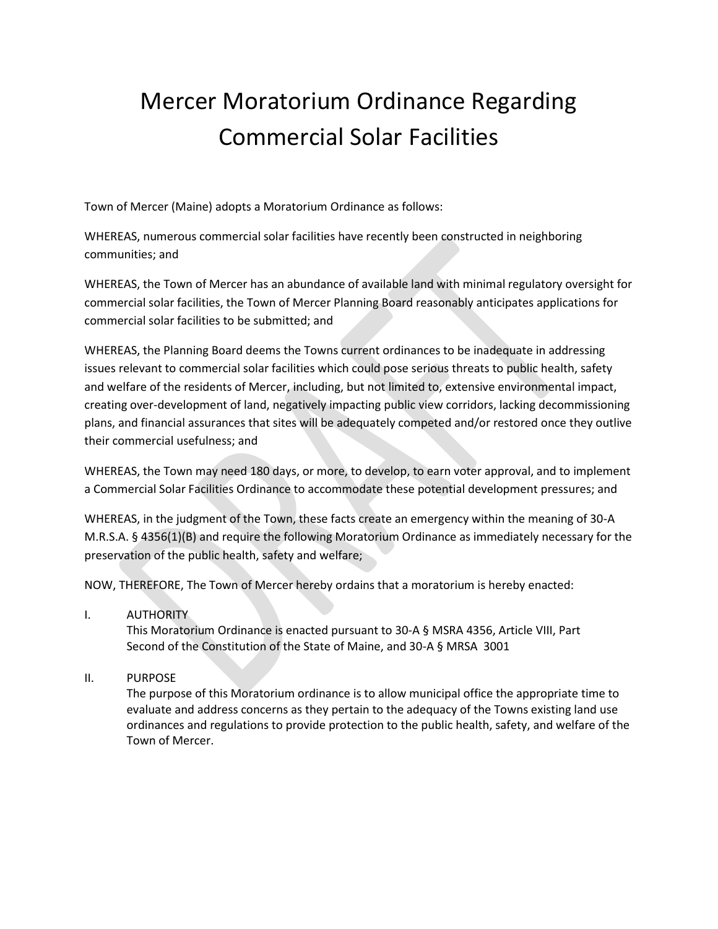# Mercer Moratorium Ordinance Regarding Commercial Solar Facilities

Town of Mercer (Maine) adopts a Moratorium Ordinance as follows:

WHEREAS, numerous commercial solar facilities have recently been constructed in neighboring communities; and

WHEREAS, the Town of Mercer has an abundance of available land with minimal regulatory oversight for commercial solar facilities, the Town of Mercer Planning Board reasonably anticipates applications for commercial solar facilities to be submitted; and

WHEREAS, the Planning Board deems the Towns current ordinances to be inadequate in addressing issues relevant to commercial solar facilities which could pose serious threats to public health, safety and welfare of the residents of Mercer, including, but not limited to, extensive environmental impact, creating over-development of land, negatively impacting public view corridors, lacking decommissioning plans, and financial assurances that sites will be adequately competed and/or restored once they outlive their commercial usefulness; and

WHEREAS, the Town may need 180 days, or more, to develop, to earn voter approval, and to implement a Commercial Solar Facilities Ordinance to accommodate these potential development pressures; and

WHEREAS, in the judgment of the Town, these facts create an emergency within the meaning of 30-A M.R.S.A. § 4356(1)(B) and require the following Moratorium Ordinance as immediately necessary for the preservation of the public health, safety and welfare;

NOW, THEREFORE, The Town of Mercer hereby ordains that a moratorium is hereby enacted:

I. AUTHORITY

This Moratorium Ordinance is enacted pursuant to 30-A § MSRA 4356, Article VIII, Part Second of the Constitution of the State of Maine, and 30-A § MRSA 3001

II. PURPOSE

The purpose of this Moratorium ordinance is to allow municipal office the appropriate time to evaluate and address concerns as they pertain to the adequacy of the Towns existing land use ordinances and regulations to provide protection to the public health, safety, and welfare of the Town of Mercer.